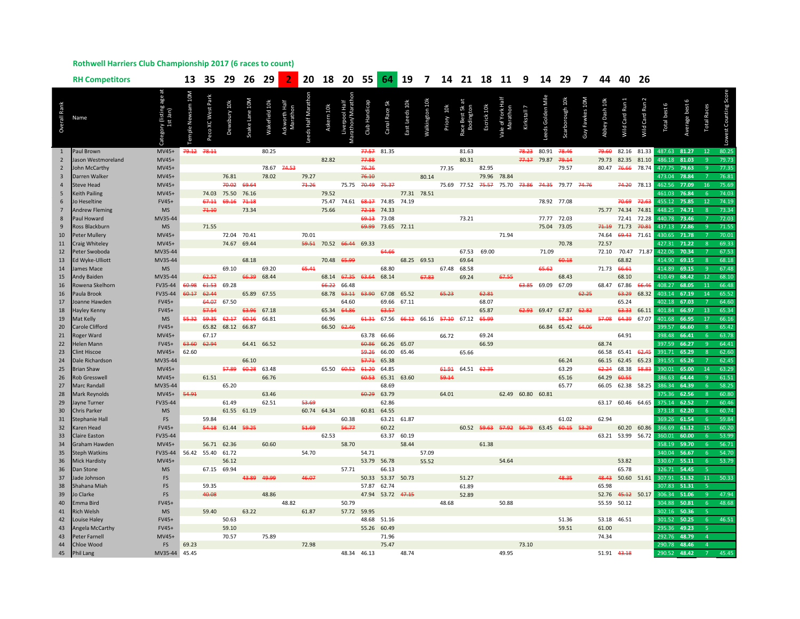## **Rothwell Harriers Club Championship 2017 (6 races to count)**

|                | <b>RH Competitors</b>         |                                |                   | 13 35               | 29           | 26             | 29            |                           | 20       | 18                      |                                     | 20 55         |                   | 64 19 7        |                   |            |                         |            | 14 21 18 11 9                                   |                   | 14 29            |                   | $\overline{7}$        | 44 40          |                   | 26                   |                  |                |                         |                |
|----------------|-------------------------------|--------------------------------|-------------------|---------------------|--------------|----------------|---------------|---------------------------|----------|-------------------------|-------------------------------------|---------------|-------------------|----------------|-------------------|------------|-------------------------|------------|-------------------------------------------------|-------------------|------------------|-------------------|-----------------------|----------------|-------------------|----------------------|------------------|----------------|-------------------------|----------------|
| Overall Rank   | Name                          | 'y (listing age at<br>1st Jan) | m <sub>10</sub> M | <b>XC West Park</b> | Dewsbury 10k | inake Lane 10M | Wakefield 10k | Ackworth Half<br>Marathon | Half Mar | Askern 10k              | Liverpool Half<br>Marathon/Marathon | Club Handicap | Canal Race 5k     | East Leeds 10k | <b>Valkington</b> | Priory 10k | ce Best 5k<br>Bodingtor | Escrick 10 | Vale of York Halt<br>Vlarathor                  | Kirkstall 7       | eeds Golden Mile | Scarborough 10k   | <b>Guy Fawkes 10M</b> | Abbey Dash 10k | Wild Card Run 1   | <b>Wild Card Run</b> | Total best 6     | Average best 6 | Races<br><b>Total</b>   |                |
|                | Paul Brown                    | $MV45+$                        |                   | 79.12 78.11         |              |                | 80.25         |                           |          |                         |                                     | 77.57         | 81.35             |                |                   |            | 81.63                   |            |                                                 | 78.23             | 80.91            | 78.46             |                       | 79.60          | 82.16             | 81.33                | 487.63           | 81.27          | 12                      | 80.25          |
| $\overline{2}$ | Jason Westmoreland            | MV45+                          |                   |                     |              |                |               |                           |          | 82.82                   |                                     | 77.88         |                   |                |                   |            | 80.31                   |            |                                                 | 77.17 79.87       |                  | 79.14             |                       | 79.73          | 82.35             | 81.10                | 486.18           | 81.03          |                         | 79.73          |
| $\overline{2}$ | John McCarthy                 | MV45+                          |                   |                     |              |                | 78.67         | 74.53                     |          |                         |                                     | 76.26         |                   |                |                   | 77.35      |                         | 82.95      |                                                 |                   |                  | 79.57             |                       | 80.47          | 76.66             | 78.74                | 477.75           | 79.63          | $\mathbf{q}$            | 77.35          |
| $\overline{3}$ | Darren Walker                 | MV45+                          |                   |                     | 76.81        |                | 78.02         |                           | 79.27    |                         |                                     | 76.10         |                   |                | 80.14             |            |                         | 79.96      | 78.84                                           |                   |                  |                   |                       |                |                   |                      | 473.04           | 78.84          |                         | 76.81          |
| $\overline{4}$ | <b>Steve Head</b>             | MV45+                          |                   |                     | 70.02        | 69.64          |               |                           | 71.26    |                         | 75.75                               | 70.49 75.37   |                   |                |                   |            |                         |            | 75.69 77.52 75.57 75.70 73.86 74.35 79.77 74.76 |                   |                  |                   |                       |                |                   | 74.20 78.13          | 462.56           | 77.09          | 16                      | 75.69          |
| 5              | <b>Keith Pailing</b>          | MV45+                          |                   |                     | 74.03 75.50  | 76.16          |               |                           |          | 79.52                   |                                     |               |                   | 77.31 78.51    |                   |            |                         |            |                                                 |                   |                  |                   |                       |                |                   |                      | 461.03           | 76.84          | 6                       | 74.03          |
| 6              | <b>Jo Heseltine</b>           | FV45+                          |                   | 67.11               | 69.16        | 71.18          |               |                           |          | 75.47                   | 74.61                               | 68.17         | 74.85             | 74.19          |                   |            |                         |            |                                                 |                   | 78.92 77.08      |                   |                       |                | 70.69             | 72.63                | 455.12           | 75.85          | 12                      | 74.19          |
| $\overline{7}$ | <b>Andrew Fleming</b>         | <b>MS</b>                      |                   | 71.10               |              | 73.34          |               |                           |          | 75.66                   |                                     | 72.18         | 74.33             |                |                   |            |                         |            |                                                 |                   |                  |                   |                       |                | 75.77 74.34 74.81 |                      | 448.25           | 74.71          | $\mathbf{R}$            | 73.34          |
| 8              | Paul Howard                   | MV35-44                        |                   |                     |              |                |               |                           |          |                         |                                     | 69.13         | 73.08             |                |                   |            | 73.21                   |            |                                                 |                   | 77.77 72.03      |                   |                       |                | 72.41 72.28       |                      | 440.78           | 73.46          |                         | 72.03          |
| 9              | Ross Blackburn                | <b>MS</b>                      |                   | 71.55               |              |                |               |                           |          |                         |                                     | 69.99         | 73.65 72.11       |                |                   |            |                         |            |                                                 |                   | 75.04 73.05      |                   |                       | 71.19          | 71.73             | 70.81                | 437.13           | 72.86          | $\alpha$                | 71.55          |
| 10             | <b>Peter Mullery</b>          | MV45+                          |                   |                     | 72.04        | 70.41          |               |                           | 70.01    |                         |                                     |               |                   |                |                   |            |                         |            | 71.94                                           |                   |                  |                   |                       | 74.64          | 69.43 71.61       |                      | 430.65           | 71.78          |                         | 70.01          |
| 11             | Craig Whiteley                | MV45+                          |                   |                     |              | 74.67 69.44    |               |                           |          | 59.51 70.52 66.44 69.33 |                                     |               |                   |                |                   |            |                         |            |                                                 |                   |                  | 70.78             |                       | 72.57          |                   |                      | 427.31           | 71.22          |                         | 69.33          |
| 12             | Peter Swoboda                 | MV35-44                        |                   |                     |              |                |               |                           |          |                         |                                     |               | 64.66             |                |                   |            | 67.53                   | 69.00      |                                                 |                   | 71.09            |                   |                       | 72.10          |                   | 70.47 71.87          | 422.06           | 70.34          |                         | 67.53          |
| 13             | Ed Wyke-Ulliott               | MV35-44                        |                   |                     |              | 68.18          |               |                           |          | 70.48 65.99             |                                     |               |                   | 68.25 69.53    |                   |            | 69.64                   |            |                                                 |                   |                  | 60.18             |                       |                | 68.82             |                      | 414.90           | 69.15          | $\mathbf{8}$            | 68.18          |
| 14             | James Mace                    | <b>MS</b>                      |                   |                     | 69.10        |                | 69.20         |                           | 65.41    |                         |                                     |               | 68.80             |                |                   | 67.48      | 68.58                   |            |                                                 |                   | 65.62            |                   |                       | 71.73 66.61    |                   |                      | 414.89           | 69.15          | $\mathsf{q}$            | 67.48          |
| 15             | <b>Andy Baiden</b>            | MV35-44                        |                   | 62.57               |              |                | 66.39 68.44   |                           |          | 68.14                   | 67.35                               | 63.64         | 68.14             |                | 67.83             |            | 69.24                   |            | 67.55                                           |                   |                  | 68.43             |                       |                | 68.10             |                      | 410.49           | 68.42          | 12                      | 68.10          |
| 16             | Rowena Skelhorn               | FV35-44                        | 60.98             | 61.53               | 69.28        |                |               |                           |          | 66.22                   | 66.48                               |               |                   |                |                   |            |                         |            |                                                 | 63.85 69.09       |                  | 67.09             |                       | 68.47          | 67.86             | 66.46                | 408.27           | 68.05          | 11                      | 66.48          |
| 16             | Paula Brook                   | FV35-44                        | 60.17             | 62.44               |              |                | 65.89 67.55   |                           |          | 68.78                   | 63.11                               | 63.90         | 67.08 65.52       |                |                   | 65.23      |                         | 62.81      |                                                 |                   |                  |                   | 62.25                 |                |                   | 63.29 68.32          | 403.14           | 67.19          | 14                      | 65.52          |
| 17             | Joanne Hawden                 | FV45+                          |                   | 64.07               | 67.50        |                |               |                           |          |                         | 64.60                               |               | 69.66             | 67.11          |                   |            |                         | 68.07      |                                                 |                   |                  |                   |                       |                | 65.24             |                      | 402.18           | 67.03          |                         | 64.60          |
| 18             | Hayley Kenny                  | FV45+                          |                   | 57.54               |              | 63.96          | 67.18         |                           |          | 65.34                   | 64.86                               |               | 63.57             |                |                   |            |                         | 65.87      |                                                 | 62.93             | 69.47            | 67.87             | 62.82                 |                | 63.33 66.11       |                      | 401.84           | 66.97          | 13                      | 65.34          |
| 19             | Mat Kelly                     | <b>MS</b>                      | 55.32             | 59.35               | 62.17        | 60.16          | 66.81         |                           |          | 66.96                   |                                     | 61.31         | 67.56             |                | 66.12 66.16       | 57.10      | 67.12                   | 65.99      |                                                 |                   |                  | 58.24             |                       | 57.08          | 64.39 67.07       |                      | 401.68           | 66.95          | 17                      | 66.16          |
| 20             | Carole Clifford               | FV45+                          |                   | 65.82               | 68.12 66.87  |                |               |                           |          | 66.50 62.46             |                                     |               |                   |                |                   |            |                         |            |                                                 |                   |                  | 66.84 65.42 64.06 |                       |                |                   |                      | 399.57           | 66.60          | $\mathbf{R}$            | 65.42          |
| 21             | Roger Ward                    | $MVA5+$                        |                   | 67.17               |              |                |               |                           |          |                         |                                     | 63.78         | 66.66             |                |                   | 66.72      |                         | 69.24      |                                                 |                   |                  |                   |                       |                | 64.91             |                      | 398.48           | 66.41          | -6                      | 63.78          |
| 22             | <b>Helen Mann</b>             | FV45+                          | 63.60             | 62.94               |              | 64.41          | 66.52         |                           |          |                         |                                     | 60.86         | 66.26 65.07       |                |                   |            |                         | 66.59      |                                                 |                   |                  |                   |                       | 68.74          |                   |                      | 397.59           | 66.27          | $\mathbf{q}$            | 64.41          |
| 23             | <b>Clint Hiscoe</b>           | MV45+                          | 62.60             |                     |              |                |               |                           |          |                         |                                     | 59.26         | 66.00             | 65.46          |                   |            | 65.66                   |            |                                                 |                   |                  |                   |                       | 66.58          | 65.41 62.45       |                      | 391.71           | 65.29          | $\mathbf{8}$            | 62.60          |
| 24             | Dale Richardson               | MV35-44                        |                   |                     |              | 66.10          |               |                           |          |                         |                                     | 57.71         | 65.38             |                |                   |            |                         |            |                                                 |                   |                  | 66.24             |                       | 66.15          | 62.45 65.23       |                      | 391.55           | 65.26          |                         | 62.45          |
| 25             | <b>Brian Shaw</b>             | MV45+                          |                   |                     | 57.89        | 60.28          | 63.48         |                           |          |                         | 65.50 60.52                         | 64.20         | 64.85             |                |                   | 61.91      | 64.51 62.35             |            |                                                 |                   |                  | 63.29             |                       | 62.24          | 68.38             | 58.83                | 390.01           | 65.00          | 14<br>$\mathsf{q}$      | 63.29          |
| 26             | <b>Rob Gresswell</b>          | $MV45+$                        |                   | 61.51               |              |                | 66.76         |                           |          |                         |                                     | 60.53         | 65.31 63.60       |                |                   | 59.14      |                         |            |                                                 |                   |                  | 65.16             |                       | 64.29          | 60.55             |                      | 386.63           | 64.44<br>64.39 |                         | 61.51<br>58.25 |
| 27<br>28       | Marc Randall<br>Mark Reynolds | MV35-44<br>MV45+               | 54.91             |                     | 65.20        |                | 63.46         |                           |          |                         |                                     | 60.29         | 68.69<br>63.79    |                |                   | 64.01      |                         |            |                                                 | 62.49 60.80 60.81 |                  | 65.77             |                       | 66.05          | 62.38 58.25       |                      | 386.34<br>375.36 | 62.56          | $\mathbf{8}$            | 60.80          |
| 29             | Jayne Turner                  | FV35-44                        |                   |                     | 61.49        |                | 62.51         |                           | 53.69    |                         |                                     |               | 62.86             |                |                   |            |                         |            |                                                 |                   |                  |                   |                       | 63.17          | 60.46 64.65       |                      | 375.14           | 62.52          |                         | 60.46          |
| 30             | <b>Chris Parker</b>           | <b>MS</b>                      |                   |                     | 61.55 61.19  |                |               |                           |          | 60.74 64.34             |                                     | 60.81         | 64.55             |                |                   |            |                         |            |                                                 |                   |                  |                   |                       |                |                   |                      | 373.18           | 62.20          | 6                       | 60.74          |
| 31             | <b>Stephanie Hall</b>         | FS                             |                   | 59.84               |              |                |               |                           |          |                         | 60.38                               |               | 63.21 61.87       |                |                   |            |                         |            |                                                 |                   |                  | 61.02             |                       | 62.94          |                   |                      | 369.26           | 61.54          |                         | 59.84          |
| 32             | Karen Head                    | FV45+                          |                   | 54.18               | 61.44        | 59.25          |               |                           | 51.69    |                         | 56.77                               |               | 60.22             |                |                   |            |                         |            | 60.52 59.63 57.92                               | 56.79 63.45       |                  | 60.15 53.29       |                       |                | 60.20 60.86       |                      | 366.69           | 61.12          | 15                      | 60.20          |
| 33             | <b>Claire Easton</b>          | FV35-44                        |                   |                     |              |                |               |                           |          | 62.53                   |                                     |               | 63.37 60.19       |                |                   |            |                         |            |                                                 |                   |                  |                   |                       |                | 63.21 53.99 56.72 |                      | 360.01           | 60.00          | 6                       | 53.99          |
| 34             | Graham Hawden                 | $MV45+$                        |                   | 56.71               | 62.36        |                | 60.60         |                           |          |                         | 58.70                               |               |                   | 58.44          |                   |            |                         | 61.38      |                                                 |                   |                  |                   |                       |                |                   |                      | 358.19           | 59.70          | -6                      | 56.71          |
| 35             | <b>Steph Watkins</b>          | FV35-44                        |                   | 56.42 55.40         | 61.72        |                |               |                           | 54.70    |                         |                                     | 54.71         |                   |                | 57.09             |            |                         |            |                                                 |                   |                  |                   |                       |                |                   |                      | 340.04           | 56.67          | 6                       | 54.70          |
| 36             | <b>Mick Hardisty</b>          | MV45+                          |                   |                     | 56.12        |                |               |                           |          |                         |                                     |               | 53.79 56.78       |                | 55.52             |            |                         |            | 54.64                                           |                   |                  |                   |                       |                | 53.82             |                      | 330.67           | 55.11          | 6                       | 53.79          |
| 36             | Dan Stone                     | <b>MS</b>                      |                   | 67.15 69.94         |              |                |               |                           |          |                         | 57.71                               |               | 66.13             |                |                   |            |                         |            |                                                 |                   |                  |                   |                       |                | 65.78             |                      | 326.71           | 54.45          |                         |                |
| 37             | Jade Johnson                  | FS                             |                   |                     |              |                | 43.89 49.99   |                           | 46.07    |                         |                                     |               | 50.33 53.37 50.73 |                |                   |            | 51.27                   |            |                                                 |                   |                  | 48.35             |                       | 48.43          | 50.60 51.61       |                      | 307.91           | 51.32          | 11                      | 50.33          |
| 38             | Shahana Miah                  | <b>FS</b>                      |                   | 59.35               |              |                |               |                           |          |                         |                                     | 57.87         | 62.74             |                |                   |            | 61.89                   |            |                                                 |                   |                  |                   |                       | 65.98          |                   |                      | 307.83           | 51.31          | -5                      |                |
| 39             | Jo Clarke                     | FS                             |                   | 40.08               |              |                | 48.86         |                           |          |                         |                                     |               | 47.94 53.72 47.15 |                |                   |            | 52.89                   |            |                                                 |                   |                  |                   |                       |                | 52.76 45.12 50.17 |                      | 306.34           | 51.06          | $\mathbf{q}$            | 47.94          |
| 40             | Emma Bird                     | $FV45+$                        |                   |                     |              |                |               | 48.82                     |          |                         | 50.79                               |               |                   |                |                   | 48.68      |                         |            | 50.88                                           |                   |                  |                   |                       | 55.59 50.12    |                   |                      | 304.88           | 50.81          | -6                      | 48.68          |
| 41             | <b>Rich Welsh</b>             | <b>MS</b>                      |                   | 59.40               |              | 63.22          |               |                           | 61.87    |                         |                                     | 57.72 59.95   |                   |                |                   |            |                         |            |                                                 |                   |                  |                   |                       |                |                   |                      | 302.16           | 50.36          | $\overline{\mathbf{5}}$ |                |
| 42             | Louise Haley                  | FV45+                          |                   |                     | 50.63        |                |               |                           |          |                         |                                     |               | 48.68 51.16       |                |                   |            |                         |            |                                                 |                   |                  | 51.36             |                       | 53.18          | 46.51             |                      | 301.52           | 50.25          | 6                       | 46.51          |
| 43             | Angela McCarthy               | FV45+                          |                   |                     | 59.10        |                |               |                           |          |                         |                                     |               | 55.26 60.49       |                |                   |            |                         |            |                                                 |                   |                  | 59.51             |                       | 61.00          |                   |                      | 295.36           | 49.23          |                         |                |
| 43             | <b>Peter Farnell</b>          | MV45+                          |                   |                     | 70.57        |                | 75.89         |                           |          |                         |                                     |               | 71.96             |                |                   |            |                         |            |                                                 |                   |                  |                   |                       | 74.34          |                   |                      | 292.76           | 48.79          | $\mathbf{A}$            |                |
| 44             | Chloe Wood                    | <b>FS</b>                      | 69.23             |                     |              |                |               |                           | 72.98    |                         |                                     |               | 75.47             |                |                   |            |                         |            |                                                 | 73.10             |                  |                   |                       |                |                   |                      | 290.78           | 48.46          |                         |                |
| 45             | <b>Phil Lang</b>              | MV35-44                        | 45.45             |                     |              |                |               |                           |          |                         |                                     | 48.34 46.13   |                   | 48.74          |                   |            |                         |            | 49.95                                           |                   |                  |                   |                       | 51.91 43.18    |                   |                      | 290.52           | 48.42          | $\overline{7}$          | 45.45          |
|                |                               |                                |                   |                     |              |                |               |                           |          |                         |                                     |               |                   |                |                   |            |                         |            |                                                 |                   |                  |                   |                       |                |                   |                      |                  |                |                         |                |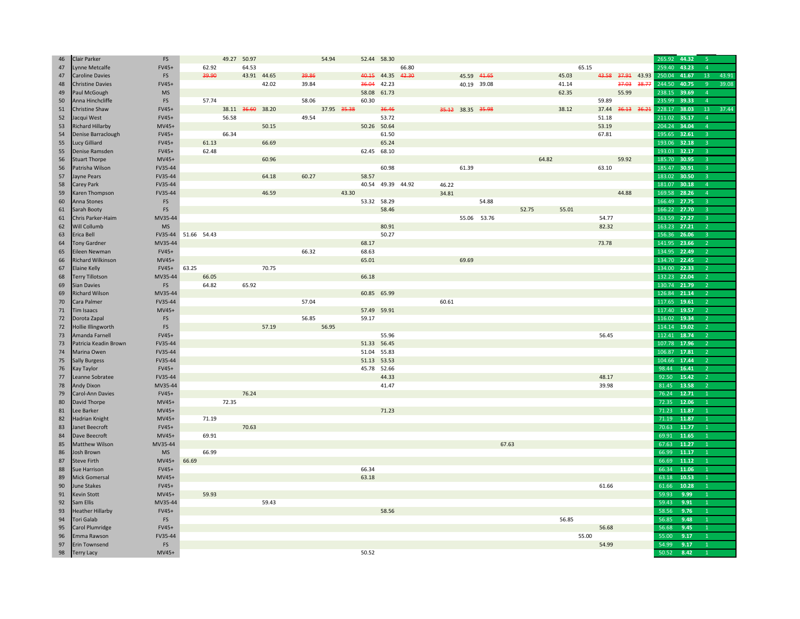| 46 | <b>Clair Parker</b>     | FS        |             |       | 49.27 50.97       |             |       | 54.94       |       | 52.44 58.30       |       |       |                   |       |       |       |       |                   |                  | 265.92 | 44.32 | -5                      |       |
|----|-------------------------|-----------|-------------|-------|-------------------|-------------|-------|-------------|-------|-------------------|-------|-------|-------------------|-------|-------|-------|-------|-------------------|------------------|--------|-------|-------------------------|-------|
| 47 | Lynne Metcalfe          | FV45+     |             | 62.92 | 64.53             |             |       |             |       |                   | 66.80 |       |                   |       |       | 65.15 |       |                   |                  | 259.40 | 43.23 | $\overline{a}$          |       |
| 47 | <b>Caroline Davies</b>  | FS        |             | 39.90 |                   | 43.91 44.65 | 39.86 |             |       | 40.15 44.35 42.30 |       |       | 45.59 44.65       |       |       | 45.03 |       | 43.58 37.91 43.93 |                  | 250.04 | 41.67 | 13                      | 43.91 |
| 48 | <b>Christine Davies</b> | $FV45+$   |             |       |                   | 42.02       | 39.84 |             | 36.04 | 42.23             |       |       | 40.19 39.08       |       |       | 41.14 |       | 37.03             | <del>38.77</del> | 244.50 | 40.75 | $\mathbf{q}$            | 39.08 |
| 49 | Paul McGough            | <b>MS</b> |             |       |                   |             |       |             | 58.08 | 61.73             |       |       |                   |       |       | 62.35 |       | 55.99             |                  | 238.15 | 39.69 | $\overline{4}$          |       |
| 50 | Anna Hinchcliffe        | FS        |             | 57.74 |                   |             | 58.06 |             | 60.30 |                   |       |       |                   |       |       |       | 59.89 |                   |                  | 235.99 | 39.33 | $\overline{4}$          |       |
| 51 | Christine Shaw          | $FV45+$   |             |       | 38.11 36.60 38.20 |             |       | 37.95 35.38 |       | 36.46             |       |       | 35.12 38.35 35.98 |       |       | 38.12 | 37.44 | 36.13 36.21       |                  | 228.17 | 38.03 | 13                      | 37.44 |
| 52 | Jacqui West             | FV45+     |             |       | 56.58             |             | 49.54 |             |       | 53.72             |       |       |                   |       |       |       | 51.18 |                   |                  | 211.02 | 35.17 | $\overline{a}$          |       |
| 53 | <b>Richard Hillarby</b> | $MV45+$   |             |       |                   | 50.15       |       |             |       | 50.26 50.64       |       |       |                   |       |       |       | 53.19 |                   |                  | 204.24 | 34.04 | $\overline{4}$          |       |
| 54 | Denise Barraclough      | FV45+     |             |       | 66.34             |             |       |             |       | 61.50             |       |       |                   |       |       |       | 67.81 |                   |                  | 195.65 | 32.61 | $\mathbf{B}$            |       |
| 55 | Lucy Gilliard           | FV45+     |             | 61.13 |                   | 66.69       |       |             |       | 65.24             |       |       |                   |       |       |       |       |                   |                  | 193.06 | 32.18 | $\overline{3}$          |       |
| 55 | Denise Ramsden          | FV45+     |             | 62.48 |                   |             |       |             |       | 62.45 68.10       |       |       |                   |       |       |       |       |                   |                  | 193.03 | 32.17 | ्र                      |       |
| 56 | <b>Stuart Thorpe</b>    | $MV45+$   |             |       |                   | 60.96       |       |             |       |                   |       |       |                   |       | 64.82 |       |       | 59.92             |                  | 185.70 | 30.95 | $\overline{\mathbf{3}}$ |       |
|    | Patrisha Wilson         | FV35-44   |             |       |                   |             |       |             |       | 60.98             |       |       | 61.39             |       |       |       | 63.10 |                   |                  | 185.47 | 30.91 | $\mathbf{R}$            |       |
| 56 |                         |           |             |       |                   |             |       |             |       |                   |       |       |                   |       |       |       |       |                   |                  | 183.02 | 30.50 |                         |       |
| 57 | Jayne Pears             | FV35-44   |             |       |                   | 64.18       | 60.27 |             | 58.57 |                   |       |       |                   |       |       |       |       |                   |                  |        |       | $\overline{3}$          |       |
| 58 | Carey Park              | FV35-44   |             |       |                   |             |       |             |       | 40.54 49.39 44.92 |       | 46.22 |                   |       |       |       |       |                   |                  | 181.07 | 30.18 | $\Delta$                |       |
| 59 | Karen Thompson          | FV35-44   |             |       |                   | 46.59       |       | 43.30       |       |                   |       | 34.81 |                   |       |       |       |       | 44.88             |                  | 169.58 | 28.26 | $\overline{4}$          |       |
| 60 | Anna Stones             | FS        |             |       |                   |             |       |             |       | 53.32 58.29       |       |       |                   | 54.88 |       |       |       |                   |                  | 166.49 | 27.75 | 3                       |       |
| 61 | Sarah Booty             | FS        |             |       |                   |             |       |             |       | 58.46             |       |       |                   |       | 52.75 | 55.01 |       |                   |                  | 166.22 | 27.70 | $\overline{3}$          |       |
| 61 | Chris Parker-Haim       | MV35-44   |             |       |                   |             |       |             |       |                   |       |       | 55.06 53.76       |       |       |       | 54.77 |                   |                  | 163.59 | 27.27 | $\mathbf{R}$            |       |
| 62 | <b>Will Collumb</b>     | <b>MS</b> |             |       |                   |             |       |             |       | 80.91             |       |       |                   |       |       |       | 82.32 |                   |                  | 163.23 | 27.21 | $\overline{2}$          |       |
| 63 | Erica Bell              | FV35-44   | 51.66 54.43 |       |                   |             |       |             |       | 50.27             |       |       |                   |       |       |       |       |                   |                  | 156.36 | 26.06 | $\mathbf{R}$            |       |
| 64 | <b>Tony Gardner</b>     | MV35-44   |             |       |                   |             |       |             | 68.17 |                   |       |       |                   |       |       |       | 73.78 |                   |                  | 141.95 | 23.66 | $\overline{2}$          |       |
| 65 | Eileen Newman           | FV45+     |             |       |                   |             | 66.32 |             | 68.63 |                   |       |       |                   |       |       |       |       |                   |                  | 134.95 | 22.49 |                         |       |
| 66 | Richard Wilkinson       | $MV45+$   |             |       |                   |             |       |             | 65.01 |                   |       |       | 69.69             |       |       |       |       |                   |                  | 134.70 | 22.45 | 2                       |       |
| 67 | <b>Elaine Kelly</b>     | FV45+     | 63.25       |       |                   | 70.75       |       |             |       |                   |       |       |                   |       |       |       |       |                   |                  | 134.00 | 22.33 | $\overline{2}$          |       |
| 68 | <b>Terry Tillotson</b>  | MV35-44   |             | 66.05 |                   |             |       |             | 66.18 |                   |       |       |                   |       |       |       |       |                   |                  | 132.23 | 22.04 | $\overline{2}$          |       |
| 69 | <b>Sian Davies</b>      | FS        |             | 64.82 | 65.92             |             |       |             |       |                   |       |       |                   |       |       |       |       |                   |                  | 130.74 | 21.79 |                         |       |
| 69 | <b>Richard Wilson</b>   | MV35-44   |             |       |                   |             |       |             |       | 60.85 65.99       |       |       |                   |       |       |       |       |                   |                  | 126.84 | 21.14 | $\overline{2}$          |       |
| 70 | Cara Palmer             | FV35-44   |             |       |                   |             | 57.04 |             |       |                   |       | 60.61 |                   |       |       |       |       |                   |                  | 117.65 | 19.61 |                         |       |
| 71 | <b>Tim Isaacs</b>       | $MVA5+$   |             |       |                   |             |       |             | 57.49 | 59.91             |       |       |                   |       |       |       |       |                   |                  | 117.40 | 19.57 | $\overline{2}$          |       |
| 72 | Dorota Zapal            | FS        |             |       |                   |             | 56.85 |             | 59.17 |                   |       |       |                   |       |       |       |       |                   |                  | 116.02 | 19.34 | $\overline{z}$          |       |
| 72 | Hollie Illingworth      | FS        |             |       |                   | 57.19       |       | 56.95       |       |                   |       |       |                   |       |       |       |       |                   |                  | 114.14 | 19.02 | $\overline{2}$          |       |
| 73 | Amanda Farnell          | FV45+     |             |       |                   |             |       |             |       | 55.96             |       |       |                   |       |       |       | 56.45 |                   |                  | 112.41 | 18.74 | $\overline{2}$          |       |
| 73 | Patricia Keadin Brown   | FV35-44   |             |       |                   |             |       |             | 51.33 | 56.45             |       |       |                   |       |       |       |       |                   |                  | 107.78 | 17.96 | $\overline{2}$          |       |
| 74 | Marina Owen             | FV35-44   |             |       |                   |             |       |             | 51.04 | 55.83             |       |       |                   |       |       |       |       |                   |                  | 106.87 | 17.81 |                         |       |
| 75 | <b>Sally Burgess</b>    | FV35-44   |             |       |                   |             |       |             | 51.13 | 53.53             |       |       |                   |       |       |       |       |                   |                  | 104.66 | 17.44 | $\overline{2}$          |       |
| 76 | Kay Taylor              | FV45+     |             |       |                   |             |       |             | 45.78 | 52.66             |       |       |                   |       |       |       |       |                   |                  | 98.44  | 16.41 | $\overline{2}$          |       |
| 77 | Leanne Sobratee         | FV35-44   |             |       |                   |             |       |             |       | 44.33             |       |       |                   |       |       |       | 48.17 |                   |                  | 92.50  | 15.42 | $\overline{z}$          |       |
| 78 | Andy Dixon              | MV35-44   |             |       |                   |             |       |             |       | 41.47             |       |       |                   |       |       |       | 39.98 |                   |                  | 81.45  | 13.58 |                         |       |
| 79 | Carol-Ann Davies        | FV45+     |             |       | 76.24             |             |       |             |       |                   |       |       |                   |       |       |       |       |                   |                  | 76.24  | 12.71 | $\mathbf{1}$            |       |
|    | David Thorpe            | $MV45+$   |             |       |                   |             |       |             |       |                   |       |       |                   |       |       |       |       |                   |                  | 72.35  | 12.06 |                         |       |
| 80 |                         |           |             |       | 72.35             |             |       |             |       |                   |       |       |                   |       |       |       |       |                   |                  |        |       | $\mathbf{1}$            |       |
| 81 | Lee Barker              | $MV45+$   |             |       |                   |             |       |             |       | 71.23             |       |       |                   |       |       |       |       |                   |                  | 71.23  | 11.87 | $\mathbf{1}$            |       |
| 82 | Hadrian Knight          | $MV45+$   |             | 71.19 |                   |             |       |             |       |                   |       |       |                   |       |       |       |       |                   |                  | 71.19  | 11.87 |                         |       |
| 83 | Janet Beecroft          | $FV45+$   |             |       | 70.63             |             |       |             |       |                   |       |       |                   |       |       |       |       |                   |                  | 70.63  | 11.77 | $\mathbf{1}$            |       |
| 84 | Dave Beecroft           | MV45+     |             | 69.91 |                   |             |       |             |       |                   |       |       |                   |       |       |       |       |                   |                  | 69.91  | 11.65 | 1                       |       |
| 85 | Matthew Wilson          | MV35-44   |             |       |                   |             |       |             |       |                   |       |       |                   | 67.63 |       |       |       |                   |                  | 67.63  | 11.27 | $\mathbf{1}$            |       |
| 86 | Josh Brown              | <b>MS</b> |             | 66.99 |                   |             |       |             |       |                   |       |       |                   |       |       |       |       |                   |                  | 66.99  | 11.17 |                         |       |
| 87 | <b>Steve Firth</b>      | MV45+     | 66.69       |       |                   |             |       |             |       |                   |       |       |                   |       |       |       |       |                   |                  | 66.69  | 11.12 | $\mathbf{1}$            |       |
| 88 | Sue Harrison            | $FV45+$   |             |       |                   |             |       |             | 66.34 |                   |       |       |                   |       |       |       |       |                   |                  | 66.34  | 11.06 | $\mathbf{1}$            |       |
| 89 | <b>Mick Gomersal</b>    | $MV45+$   |             |       |                   |             |       |             | 63.18 |                   |       |       |                   |       |       |       |       |                   |                  | 63.18  | 10.53 | $\mathbf{1}$            |       |
| 90 | June Stakes             | FV45+     |             |       |                   |             |       |             |       |                   |       |       |                   |       |       |       | 61.66 |                   |                  | 61.66  | 10.28 |                         |       |
| 91 | <b>Kevin Stott</b>      | $MV45+$   |             | 59.93 |                   |             |       |             |       |                   |       |       |                   |       |       |       |       |                   |                  | 59.93  | 9.99  | $\mathbf{1}$            |       |
| 92 | Sam Ellis               | MV35-44   |             |       |                   | 59.43       |       |             |       |                   |       |       |                   |       |       |       |       |                   |                  | 59.43  | 9.91  | 1                       |       |
| 93 | <b>Heather Hillarby</b> | $FV45+$   |             |       |                   |             |       |             |       | 58.56             |       |       |                   |       |       |       |       |                   |                  | 58.56  | 9.76  | $\mathbf{1}$            |       |
| 94 | Tori Galab              | FS        |             |       |                   |             |       |             |       |                   |       |       |                   |       |       | 56.85 |       |                   |                  | 56.85  | 9.48  |                         |       |
| 95 | Carol Plumridge         | $FV45+$   |             |       |                   |             |       |             |       |                   |       |       |                   |       |       |       | 56.68 |                   |                  | 56.68  | 9.45  | $\mathbf{1}$            |       |
| 96 | Emma Rawson             | FV35-44   |             |       |                   |             |       |             |       |                   |       |       |                   |       |       | 55.00 |       |                   |                  | 55.00  | 9.17  | 1                       |       |
| 97 | Erin Townsend           | FS        |             |       |                   |             |       |             |       |                   |       |       |                   |       |       |       | 54.99 |                   |                  | 54.99  | 9.17  | $\mathbf{1}$            |       |
| 98 | <b>Terry Lacy</b>       | MV45+     |             |       |                   |             |       |             | 50.52 |                   |       |       |                   |       |       |       |       |                   |                  | 50.52  | 8.42  |                         |       |